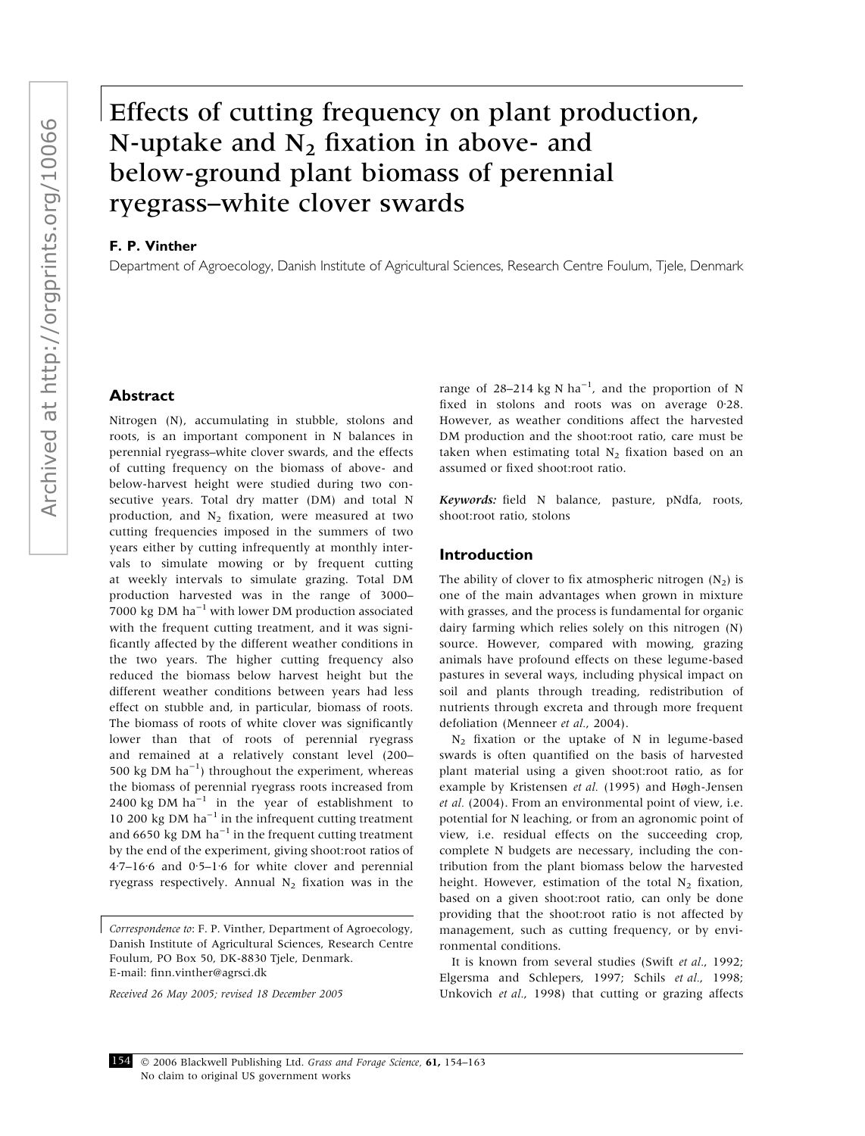# Effects of cutting frequency on plant production, N-uptake and  $N_2$  fixation in above- and below-ground plant biomass of perennial ryegrass–white clover swards

## F. P. Vinther

Department of Agroecology, Danish Institute of Agricultural Sciences, Research Centre Foulum, Tjele, Denmark

## Abstract

Nitrogen (N), accumulating in stubble, stolons and roots, is an important component in N balances in perennial ryegrass–white clover swards, and the effects of cutting frequency on the biomass of above- and below-harvest height were studied during two consecutive years. Total dry matter (DM) and total N production, and  $N_2$  fixation, were measured at two cutting frequencies imposed in the summers of two years either by cutting infrequently at monthly intervals to simulate mowing or by frequent cutting at weekly intervals to simulate grazing. Total DM production harvested was in the range of 3000– 7000 kg DM  $ha^{-1}$  with lower DM production associated with the frequent cutting treatment, and it was significantly affected by the different weather conditions in the two years. The higher cutting frequency also reduced the biomass below harvest height but the different weather conditions between years had less effect on stubble and, in particular, biomass of roots. The biomass of roots of white clover was significantly lower than that of roots of perennial ryegrass and remained at a relatively constant level (200– 500 kg DM  $ha^{-1}$ ) throughout the experiment, whereas the biomass of perennial ryegrass roots increased from 2400 kg DM  $ha^{-1}$  in the year of establishment to 10 200 kg DM  $ha^{-1}$  in the infrequent cutting treatment and 6650 kg DM  $ha^{-1}$  in the frequent cutting treatment by the end of the experiment, giving shoot:root ratios of  $4.7-16.6$  and  $0.5-1.6$  for white clover and perennial ryegrass respectively. Annual  $N_2$  fixation was in the

Received 26 May 2005; revised 18 December 2005

range of 28–214 kg N  $ha^{-1}$ , and the proportion of N fixed in stolons and roots was on average  $0.28$ . However, as weather conditions affect the harvested DM production and the shoot:root ratio, care must be taken when estimating total  $N_2$  fixation based on an assumed or fixed shoot:root ratio.

Keywords: field N balance, pasture, pNdfa, roots, shoot:root ratio, stolons

## Introduction

The ability of clover to fix atmospheric nitrogen  $(N_2)$  is one of the main advantages when grown in mixture with grasses, and the process is fundamental for organic dairy farming which relies solely on this nitrogen (N) source. However, compared with mowing, grazing animals have profound effects on these legume-based pastures in several ways, including physical impact on soil and plants through treading, redistribution of nutrients through excreta and through more frequent defoliation (Menneer et al., 2004).

N2 fixation or the uptake of N in legume-based swards is often quantified on the basis of harvested plant material using a given shoot:root ratio, as for example by Kristensen et al. (1995) and Høgh-Jensen et al. (2004). From an environmental point of view, i.e. potential for N leaching, or from an agronomic point of view, i.e. residual effects on the succeeding crop, complete N budgets are necessary, including the contribution from the plant biomass below the harvested height. However, estimation of the total  $N<sub>2</sub>$  fixation, based on a given shoot:root ratio, can only be done providing that the shoot:root ratio is not affected by management, such as cutting frequency, or by environmental conditions.

It is known from several studies (Swift et al., 1992; Elgersma and Schlepers, 1997; Schils et al., 1998; Unkovich et al., 1998) that cutting or grazing affects



Correspondence to: F. P. Vinther, Department of Agroecology, Danish Institute of Agricultural Sciences, Research Centre Foulum, PO Box 50, DK-8830 Tjele, Denmark. E-mail: finn.vinther@agrsci.dk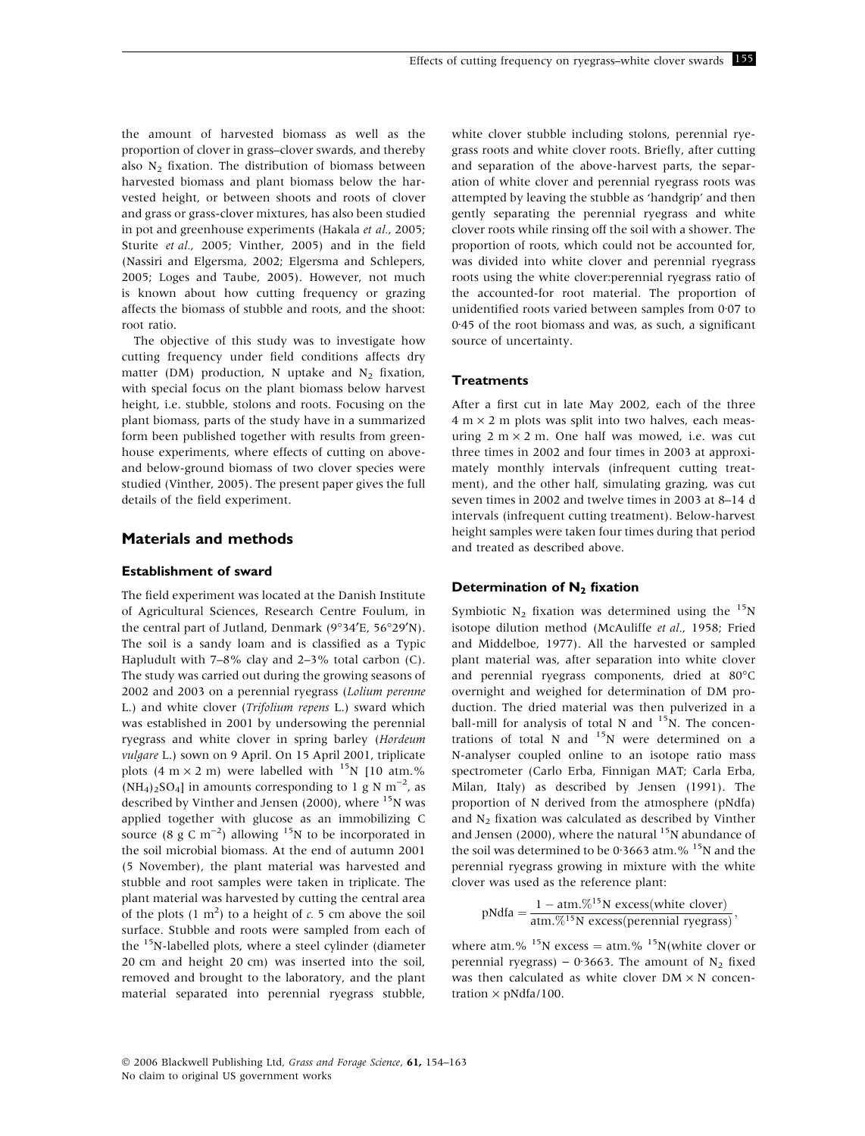the amount of harvested biomass as well as the proportion of clover in grass–clover swards, and thereby also  $N_2$  fixation. The distribution of biomass between harvested biomass and plant biomass below the harvested height, or between shoots and roots of clover and grass or grass-clover mixtures, has also been studied in pot and greenhouse experiments (Hakala et al., 2005; Sturite et al., 2005; Vinther, 2005) and in the field (Nassiri and Elgersma, 2002; Elgersma and Schlepers, 2005; Loges and Taube, 2005). However, not much is known about how cutting frequency or grazing affects the biomass of stubble and roots, and the shoot: root ratio.

The objective of this study was to investigate how cutting frequency under field conditions affects dry matter (DM) production, N uptake and  $N_2$  fixation, with special focus on the plant biomass below harvest height, i.e. stubble, stolons and roots. Focusing on the plant biomass, parts of the study have in a summarized form been published together with results from greenhouse experiments, where effects of cutting on aboveand below-ground biomass of two clover species were studied (Vinther, 2005). The present paper gives the full details of the field experiment.

## Materials and methods

## Establishment of sward

The field experiment was located at the Danish Institute of Agricultural Sciences, Research Centre Foulum, in the central part of Jutland, Denmark (9°34'E, 56°29'N). The soil is a sandy loam and is classified as a Typic Hapludult with 7–8% clay and 2–3% total carbon (C). The study was carried out during the growing seasons of 2002 and 2003 on a perennial ryegrass (Lolium perenne L.) and white clover (Trifolium repens L.) sward which was established in 2001 by undersowing the perennial ryegrass and white clover in spring barley (Hordeum vulgare L.) sown on 9 April. On 15 April 2001, triplicate plots (4 m  $\times$  2 m) were labelled with <sup>15</sup>N [10 atm.%  $(NH_4)_2SO_4$ ] in amounts corresponding to 1 g N m<sup>-2</sup>, as described by Vinther and Jensen (2000), where  $^{15}$ N was applied together with glucose as an immobilizing C source (8 g C m<sup>-2</sup>) allowing <sup>15</sup>N to be incorporated in the soil microbial biomass. At the end of autumn 2001 (5 November), the plant material was harvested and stubble and root samples were taken in triplicate. The plant material was harvested by cutting the central area of the plots  $(1 \text{ m}^2)$  to a height of c. 5 cm above the soil surface. Stubble and roots were sampled from each of the <sup>15</sup>N-labelled plots, where a steel cylinder (diameter 20 cm and height 20 cm) was inserted into the soil, removed and brought to the laboratory, and the plant material separated into perennial ryegrass stubble,

white clover stubble including stolons, perennial ryegrass roots and white clover roots. Briefly, after cutting and separation of the above-harvest parts, the separation of white clover and perennial ryegrass roots was attempted by leaving the stubble as 'handgrip' and then gently separating the perennial ryegrass and white clover roots while rinsing off the soil with a shower. The proportion of roots, which could not be accounted for, was divided into white clover and perennial ryegrass roots using the white clover:perennial ryegrass ratio of the accounted-for root material. The proportion of unidentified roots varied between samples from  $0.07$  to 0.45 of the root biomass and was, as such, a significant source of uncertainty.

## **Treatments**

After a first cut in late May 2002, each of the three  $4 \text{ m} \times 2 \text{ m}$  plots was split into two halves, each measuring  $2 \text{ m} \times 2 \text{ m}$ . One half was mowed, i.e. was cut three times in 2002 and four times in 2003 at approximately monthly intervals (infrequent cutting treatment), and the other half, simulating grazing, was cut seven times in 2002 and twelve times in 2003 at 8–14 d intervals (infrequent cutting treatment). Below-harvest height samples were taken four times during that period and treated as described above.

## Determination of  $N_2$  fixation

Symbiotic  $N_2$  fixation was determined using the  $15N$ isotope dilution method (McAuliffe et al., 1958; Fried and Middelboe, 1977). All the harvested or sampled plant material was, after separation into white clover and perennial ryegrass components, dried at 80°C overnight and weighed for determination of DM production. The dried material was then pulverized in a ball-mill for analysis of total N and  $15$ N. The concentrations of total N and  $15N$  were determined on a N-analyser coupled online to an isotope ratio mass spectrometer (Carlo Erba, Finnigan MAT; Carla Erba, Milan, Italy) as described by Jensen (1991). The proportion of N derived from the atmosphere (pNdfa) and  $N_2$  fixation was calculated as described by Vinther and Jensen (2000), where the natural  $15N$  abundance of the soil was determined to be 0.3663 atm. $%$ <sup>15</sup>N and the perennial ryegrass growing in mixture with the white clover was used as the reference plant:

pNdfa = 
$$
\frac{1 - atm.\%^{15}N \ excess(white \text{ clover})}{atm.\%^{15}N \ excess(perennial \,ryegrass)}
$$

where atm.% <sup>15</sup>N excess = atm.% <sup>15</sup>N(white clover or perennial ryegrass) – 0.3663. The amount of  $N_2$  fixed was then calculated as white clover  $DM \times N$  concentration  $\times$  pNdfa/100.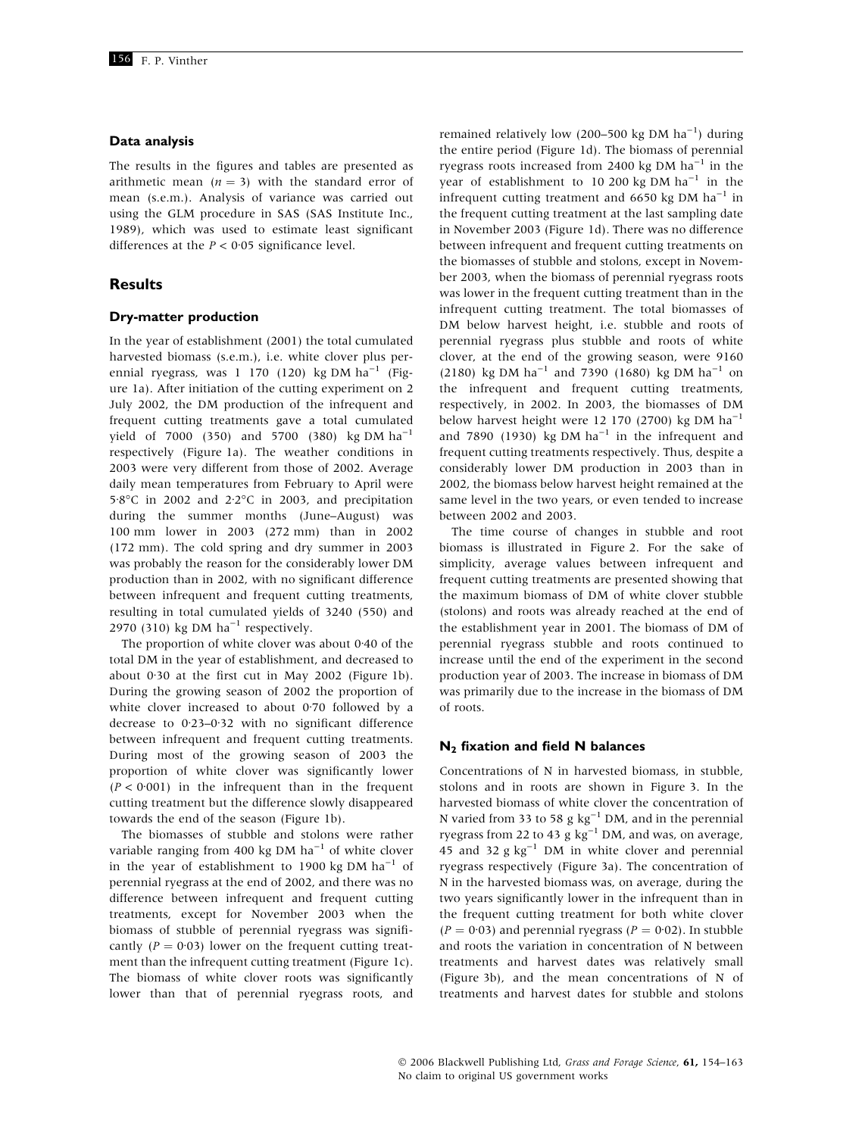#### Data analysis

The results in the figures and tables are presented as arithmetic mean  $(n = 3)$  with the standard error of mean (s.e.m.). Analysis of variance was carried out using the GLM procedure in SAS (SAS Institute Inc., 1989), which was used to estimate least significant differences at the  $P < 0.05$  significance level.

## **Results**

#### Dry-matter production

In the year of establishment (2001) the total cumulated harvested biomass (s.e.m.), i.e. white clover plus perennial ryegrass, was 1 170 (120) kg DM ha<sup>-1</sup> (Figure 1a). After initiation of the cutting experiment on 2 July 2002, the DM production of the infrequent and frequent cutting treatments gave a total cumulated yield of 7000 (350) and 5700 (380) kg DM  $ha^{-1}$ respectively (Figure 1a). The weather conditions in 2003 were very different from those of 2002. Average daily mean temperatures from February to April were 5.8°C in 2002 and  $2.2$ °C in 2003, and precipitation during the summer months (June–August) was 100 mm lower in 2003 (272 mm) than in 2002 (172 mm). The cold spring and dry summer in 2003 was probably the reason for the considerably lower DM production than in 2002, with no significant difference between infrequent and frequent cutting treatments, resulting in total cumulated yields of 3240 (550) and 2970 (310) kg DM  $ha^{-1}$  respectively.

The proportion of white clover was about  $0.40$  of the total DM in the year of establishment, and decreased to about  $0.30$  at the first cut in May 2002 (Figure 1b). During the growing season of 2002 the proportion of white clover increased to about  $0.70$  followed by a decrease to  $0.23-0.32$  with no significant difference between infrequent and frequent cutting treatments. During most of the growing season of 2003 the proportion of white clover was significantly lower  $(P < 0.001)$  in the infrequent than in the frequent cutting treatment but the difference slowly disappeared towards the end of the season (Figure 1b).

The biomasses of stubble and stolons were rather variable ranging from 400 kg DM  $ha^{-1}$  of white clover in the year of establishment to 1900 kg DM  $ha^{-1}$  of perennial ryegrass at the end of 2002, and there was no difference between infrequent and frequent cutting treatments, except for November 2003 when the biomass of stubble of perennial ryegrass was significantly  $(P = 0.03)$  lower on the frequent cutting treatment than the infrequent cutting treatment (Figure 1c). The biomass of white clover roots was significantly lower than that of perennial ryegrass roots, and

remained relatively low (200–500 kg DM  $ha^{-1}$ ) during the entire period (Figure 1d). The biomass of perennial ryegrass roots increased from 2400 kg DM  $ha^{-1}$  in the year of establishment to 10 200 kg DM  $ha^{-1}$  in the infrequent cutting treatment and 6650 kg DM  $ha^{-1}$  in the frequent cutting treatment at the last sampling date in November 2003 (Figure 1d). There was no difference between infrequent and frequent cutting treatments on the biomasses of stubble and stolons, except in November 2003, when the biomass of perennial ryegrass roots was lower in the frequent cutting treatment than in the infrequent cutting treatment. The total biomasses of DM below harvest height, i.e. stubble and roots of perennial ryegrass plus stubble and roots of white clover, at the end of the growing season, were 9160 (2180) kg DM ha<sup>-1</sup> and 7390 (1680) kg DM ha<sup>-1</sup> on the infrequent and frequent cutting treatments, respectively, in 2002. In 2003, the biomasses of DM below harvest height were 12 170 (2700) kg DM  $ha^{-1}$ and 7890 (1930) kg DM  $ha^{-1}$  in the infrequent and frequent cutting treatments respectively. Thus, despite a considerably lower DM production in 2003 than in 2002, the biomass below harvest height remained at the same level in the two years, or even tended to increase between 2002 and 2003.

The time course of changes in stubble and root biomass is illustrated in Figure 2. For the sake of simplicity, average values between infrequent and frequent cutting treatments are presented showing that the maximum biomass of DM of white clover stubble (stolons) and roots was already reached at the end of the establishment year in 2001. The biomass of DM of perennial ryegrass stubble and roots continued to increase until the end of the experiment in the second production year of 2003. The increase in biomass of DM was primarily due to the increase in the biomass of DM of roots.

#### $N_2$  fixation and field N balances

Concentrations of N in harvested biomass, in stubble, stolons and in roots are shown in Figure 3. In the harvested biomass of white clover the concentration of N varied from 33 to 58 g  $\text{kg}^{-1}$  DM, and in the perennial ryegrass from 22 to 43 g  $kg^{-1}$  DM, and was, on average, 45 and 32 g  $kg^{-1}$  DM in white clover and perennial ryegrass respectively (Figure 3a). The concentration of N in the harvested biomass was, on average, during the two years significantly lower in the infrequent than in the frequent cutting treatment for both white clover  $(P = 0.03)$  and perennial ryegrass  $(P = 0.02)$ . In stubble and roots the variation in concentration of N between treatments and harvest dates was relatively small (Figure 3b), and the mean concentrations of N of treatments and harvest dates for stubble and stolons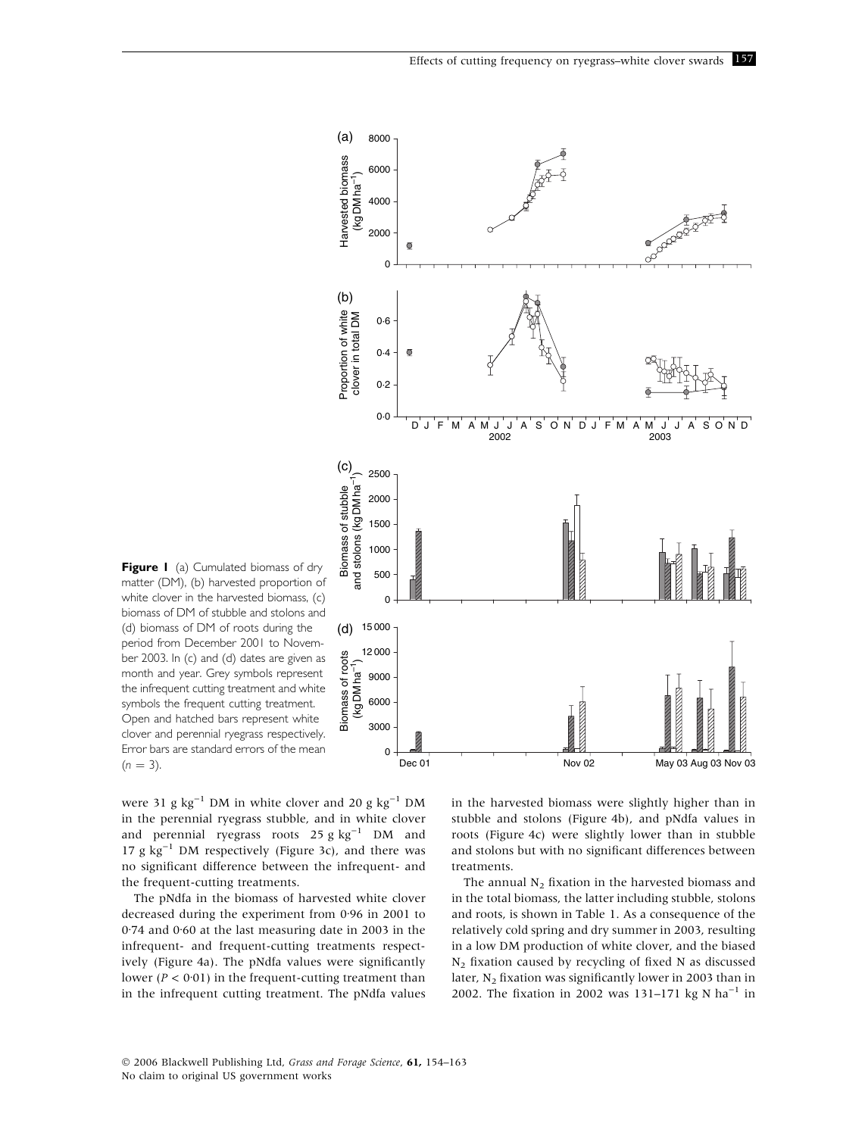

Figure I (a) Cumulated biomass of dry matter (DM), (b) harvested proportion of white clover in the harvested biomass. (c) biomass of DM of stubble and stolons and (d) biomass of DM of roots during the period from December 2001 to November 2003. In (c) and (d) dates are given as month and year. Grey symbols represent the infrequent cutting treatment and white symbols the frequent cutting treatment. Open and hatched bars represent white clover and perennial ryegrass respectively. Error bars are standard errors of the mean  $(n = 3)$ .

were 31 g  $\text{kg}^{-1}$  DM in white clover and 20 g  $\text{kg}^{-1}$  DM in the perennial ryegrass stubble, and in white clover and perennial ryegrass roots  $25 g kg^{-1}$  DM and 17  $g kg^{-1}$  DM respectively (Figure 3c), and there was no significant difference between the infrequent- and the frequent-cutting treatments.

The pNdfa in the biomass of harvested white clover decreased during the experiment from 0.96 in 2001 to 0.74 and 0.60 at the last measuring date in 2003 in the infrequent- and frequent-cutting treatments respectively (Figure 4a). The pNdfa values were significantly lower ( $P < 0.01$ ) in the frequent-cutting treatment than in the infrequent cutting treatment. The pNdfa values

in the harvested biomass were slightly higher than in stubble and stolons (Figure 4b), and pNdfa values in roots (Figure 4c) were slightly lower than in stubble and stolons but with no significant differences between treatments.

The annual  $N_2$  fixation in the harvested biomass and in the total biomass, the latter including stubble, stolons and roots, is shown in Table 1. As a consequence of the relatively cold spring and dry summer in 2003, resulting in a low DM production of white clover, and the biased  $N_2$  fixation caused by recycling of fixed N as discussed later, N<sub>2</sub> fixation was significantly lower in 2003 than in 2002. The fixation in 2002 was 131-171 kg N  $ha^{-1}$  in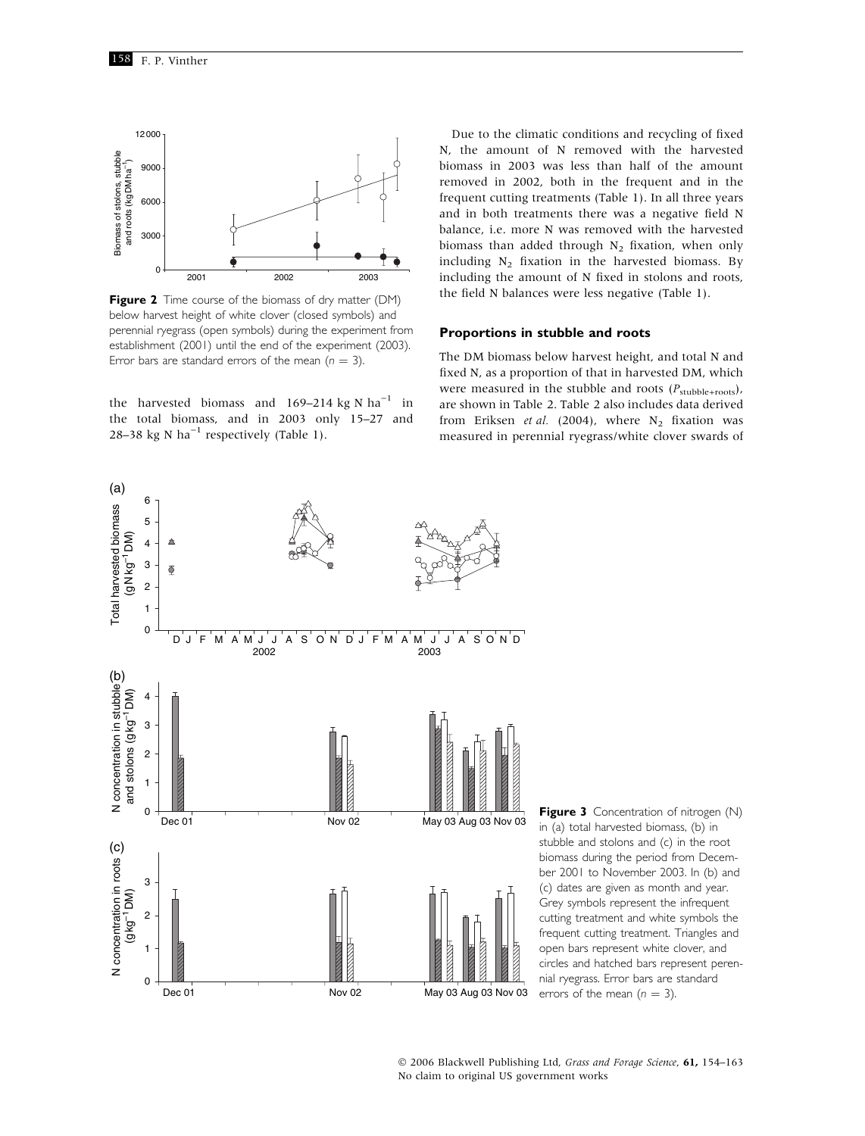

Figure 2 Time course of the biomass of dry matter (DM) below harvest height of white clover (closed symbols) and perennial ryegrass (open symbols) during the experiment from establishment (2001) until the end of the experiment (2003). Error bars are standard errors of the mean ( $n = 3$ ).

the harvested biomass and  $169-214$  kg N ha<sup>-1</sup> in the total biomass, and in 2003 only 15-27 and 28-38 kg N ha<sup>-1</sup> respectively (Table 1).

Due to the climatic conditions and recycling of fixed N, the amount of N removed with the harvested biomass in 2003 was less than half of the amount removed in 2002, both in the frequent and in the frequent cutting treatments (Table 1). In all three years and in both treatments there was a negative field N balance, i.e. more N was removed with the harvested biomass than added through  $N_2$  fixation, when only including  $N_2$  fixation in the harvested biomass. By including the amount of N fixed in stolons and roots, the field N balances were less negative (Table 1).

#### Proportions in stubble and roots

The DM biomass below harvest height, and total N and fixed N, as a proportion of that in harvested DM, which were measured in the stubble and roots  $(P_{\text{stubble+roots}})$ , are shown in Table 2. Table 2 also includes data derived from Eriksen et al. (2004), where N<sub>2</sub> fixation was measured in perennial ryegrass/white clover swards of



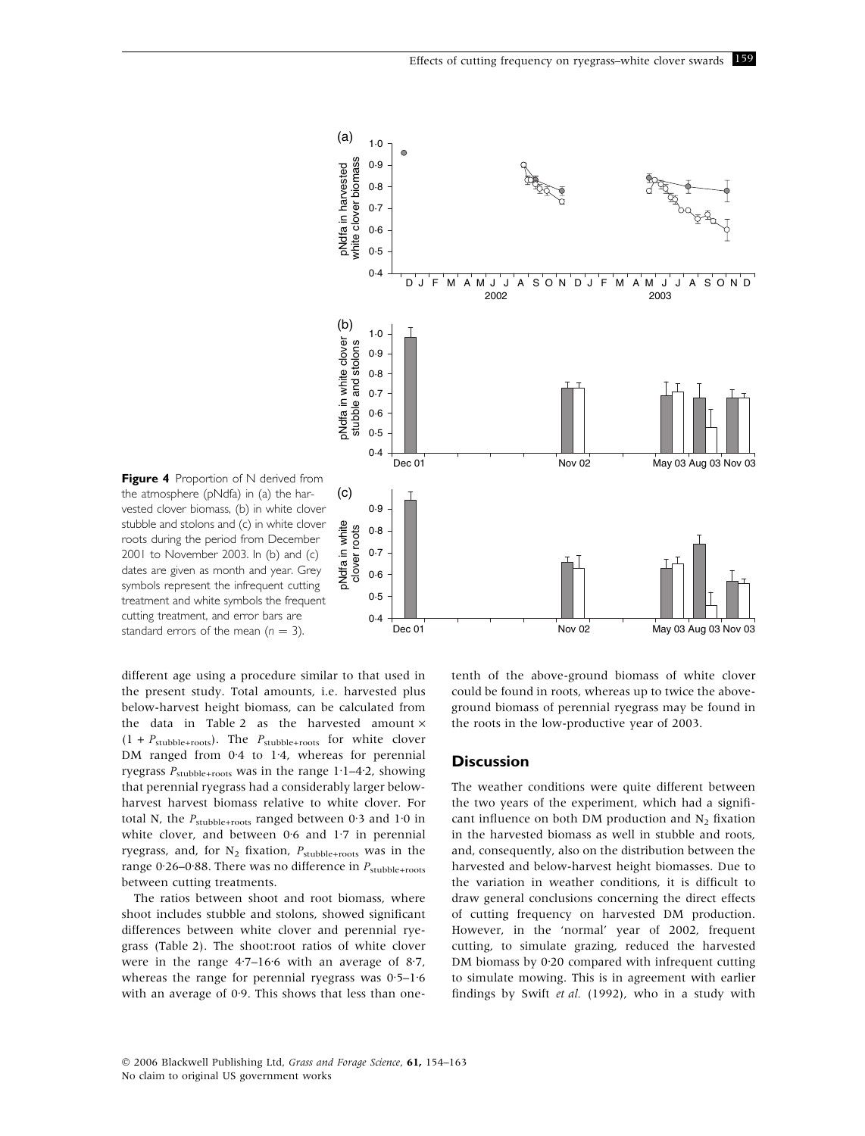

Figure 4 Proportion of N derived from the atmosphere (pNdfa) in (a) the harvested clover biomass, (b) in white clover stubble and stolons and (c) in white clover roots during the period from December 2001 to November 2003. In (b) and (c) dates are given as month and year. Grey symbols represent the infrequent cutting treatment and white symbols the frequent cutting treatment, and error bars are standard errors of the mean  $(n = 3)$ .

different age using a procedure similar to that used in the present study. Total amounts, i.e. harvested plus below-harvest height biomass, can be calculated from the data in Table 2 as the harvested amount  $\times$  $(1 + P_{\text{stubble+roots}})$ . The  $P_{\text{stubble+roots}}$  for white clover DM ranged from  $0.4$  to 1.4, whereas for perennial ryegrass  $P_{\text{stable+roots}}$  was in the range 1·1–4·2, showing that perennial ryegrass had a considerably larger belowharvest harvest biomass relative to white clover. For total N, the  $P_{\text{subble+roots}}$  ranged between 0.3 and 1.0 in white clover, and between  $0.6$  and  $1.7$  in perennial ryegrass, and, for  $N_2$  fixation,  $P_{\text{stable+roots}}$  was in the range 0.26–0.88. There was no difference in  $P_{\text{stable+roots}}$ between cutting treatments.

The ratios between shoot and root biomass, where shoot includes stubble and stolons, showed significant differences between white clover and perennial ryegrass (Table 2). The shoot:root ratios of white clover were in the range  $4\cdot7-16\cdot6$  with an average of  $8\cdot7$ , whereas the range for perennial ryegrass was  $0.5-1.6$ with an average of  $0.9$ . This shows that less than onetenth of the above-ground biomass of white clover could be found in roots, whereas up to twice the aboveground biomass of perennial ryegrass may be found in the roots in the low-productive year of 2003.

#### **Discussion**

The weather conditions were quite different between the two years of the experiment, which had a significant influence on both DM production and  $N<sub>2</sub>$  fixation in the harvested biomass as well in stubble and roots, and, consequently, also on the distribution between the harvested and below-harvest height biomasses. Due to the variation in weather conditions, it is difficult to draw general conclusions concerning the direct effects of cutting frequency on harvested DM production. However, in the 'normal' year of 2002, frequent cutting, to simulate grazing, reduced the harvested DM biomass by  $0.20$  compared with infrequent cutting to simulate mowing. This is in agreement with earlier findings by Swift et al. (1992), who in a study with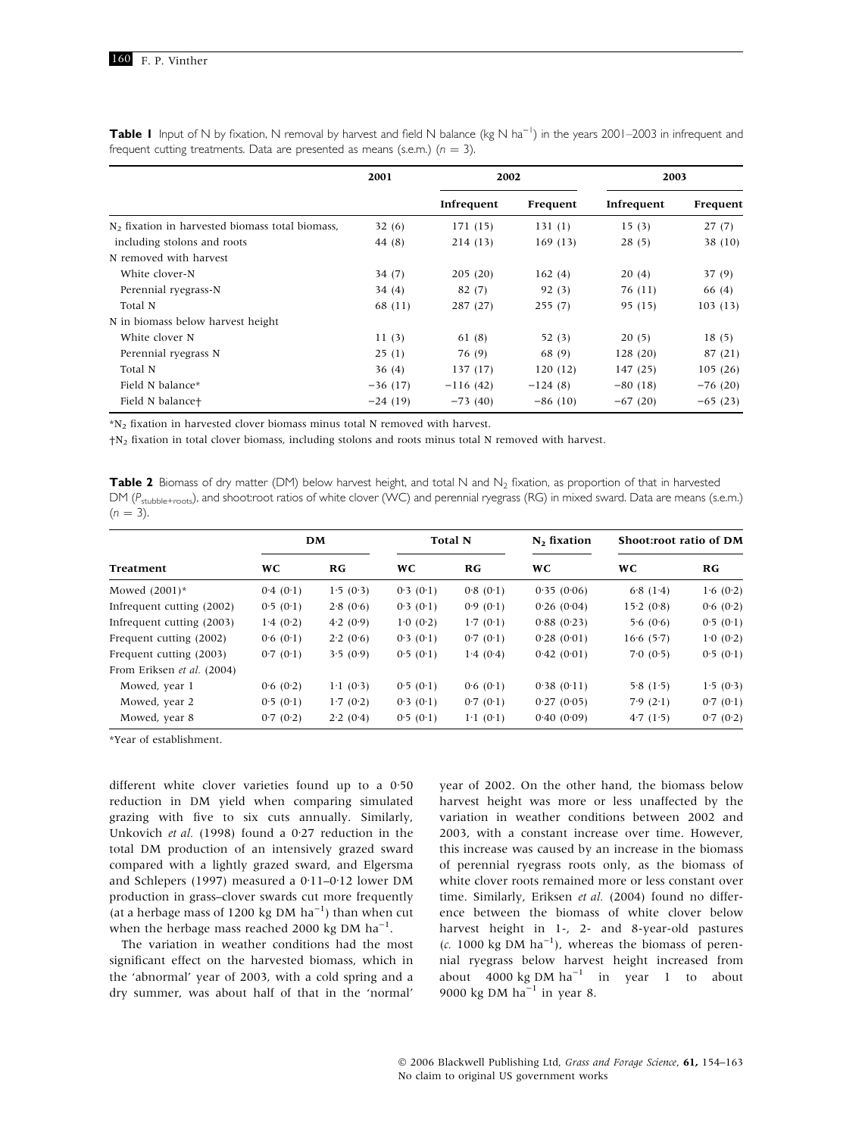|                                                             | 2001      | 2002       |           | 2003       |           |
|-------------------------------------------------------------|-----------|------------|-----------|------------|-----------|
|                                                             |           | Infrequent | Frequent  | Infrequent | Frequent  |
| N <sub>2</sub> fixation in harvested biomass total biomass. | 32(6)     | 171 (15)   | 131(1)    | 15(3)      | 27(7)     |
| including stolons and roots                                 | 44 (8)    | 214(13)    | 169(13)   | 28(5)      | 38(10)    |
| N removed with harvest                                      |           |            |           |            |           |
| White clover-N                                              | 34(7)     | 205(20)    | 162(4)    | 20(4)      | 37(9)     |
| Perennial ryegrass-N                                        | 34(4)     | 82(7)      | 92(3)     | 76 (11)    | 66 (4)    |
| Total N                                                     | 68 (11)   | 287 (27)   | 255(7)    | 95 (15)    | 103(13)   |
| N in biomass below harvest height                           |           |            |           |            |           |
| White clover N                                              | 11(3)     | 61(8)      | 52(3)     | 20(5)      | 18(5)     |
| Perennial ryegrass N                                        | 25(1)     | 76 (9)     | 68 (9)    | 128(20)    | 87 (21)   |
| Total N                                                     | 36(4)     | 137(17)    | 120(12)   | 147(25)    | 105(26)   |
| Field N balance*                                            | $-36(17)$ | $-116(42)$ | $-124(8)$ | $-80(18)$  | $-76(20)$ |
| Field N balance+                                            | $-24(19)$ | $-73(40)$  | $-86(10)$ | $-67(20)$  | $-65(23)$ |

Table I Input of N by fixation, N removal by harvest and field N balance (kg N ha<sup>-1</sup>) in the years 2001–2003 in infrequent and frequent cutting treatments. Data are presented as means (s.e.m.) ( $n = 3$ ).

\*N2 fixation in harvested clover biomass minus total N removed with harvest.

†N2 fixation in total clover biomass, including stolons and roots minus total N removed with harvest.

Table 2 Biomass of dry matter (DM) below harvest height, and total N and  $N_2$  fixation, as proportion of that in harvested DM ( $P_{\text{stubble}+\text{roots}}$ ), and shoot:root ratios of white clover (WC) and perennial ryegrass (RG) in mixed sward. Data are means (s.e.m.)  $(n = 3)$ .

| Treatment                  | <b>DM</b> |                   | <b>Total N</b> |                   | $N2$ fixation | Shoot:root ratio of DM |          |
|----------------------------|-----------|-------------------|----------------|-------------------|---------------|------------------------|----------|
|                            | <b>WC</b> | RG                | <b>WC</b>      | RG                | <b>WC</b>     | <b>WC</b>              | RG       |
| Mowed $(2001)^*$           | 0.4(0.1)  | 1.5(0.3)          | 0.3(0.1)       | 0.8(0.1)          | 0.35(0.06)    | 6.8(1.4)               | 1.6(0.2) |
| Infrequent cutting (2002)  | 0.5(0.1)  | 2.8(0.6)          | 0.3(0.1)       | 0.9(0.1)          | 0.26(0.04)    | 15.2(0.8)              | 0.6(0.2) |
| Infrequent cutting (2003)  | 1.4(0.2)  | 4.2(0.9)          | 1.0(0.2)       | 1.7(0.1)          | 0.88(0.23)    | 5.6(0.6)               | 0.5(0.1) |
| Frequent cutting (2002)    | 0.6(0.1)  | 2.2(0.6)          | 0.3(0.1)       | 0.7(0.1)          | 0.28(0.01)    | 16.6(5.7)              | 1.0(0.2) |
| Frequent cutting (2003)    | 0.7(0.1)  | 3.5(0.9)          | 0.5(0.1)       | 1.4(0.4)          | 0.42(0.01)    | 7.0(0.5)               | 0.5(0.1) |
| From Eriksen et al. (2004) |           |                   |                |                   |               |                        |          |
| Mowed, year 1              | 0.6(0.2)  | $1 \cdot 1$ (0.3) | 0.5(0.1)       | 0.6(0.1)          | 0.38(0.11)    | 5.8(1.5)               | 1.5(0.3) |
| Mowed, year 2              | 0.5(0.1)  | 1.7(0.2)          | 0.3(0.1)       | 0.7(0.1)          | 0.27(0.05)    | 7.9(2.1)               | 0.7(0.1) |
| Mowed, year 8              | 0.7(0.2)  | 2.2(0.4)          | 0.5(0.1)       | $1 \cdot 1$ (0.1) | 0.40(0.09)    | 4.7(1.5)               | 0.7(0.2) |

\*Year of establishment.

different white clover varieties found up to a  $0.50$ reduction in DM yield when comparing simulated grazing with five to six cuts annually. Similarly, Unkovich et al. (1998) found a  $0.27$  reduction in the total DM production of an intensively grazed sward compared with a lightly grazed sward, and Elgersma and Schlepers (1997) measured a  $0.11-0.12$  lower DM production in grass–clover swards cut more frequently (at a herbage mass of 1200 kg DM  $ha^{-1}$ ) than when cut when the herbage mass reached 2000 kg DM  $ha^{-1}$ .

The variation in weather conditions had the most significant effect on the harvested biomass, which in the 'abnormal' year of 2003, with a cold spring and a dry summer, was about half of that in the 'normal'

year of 2002. On the other hand, the biomass below harvest height was more or less unaffected by the variation in weather conditions between 2002 and 2003, with a constant increase over time. However, this increase was caused by an increase in the biomass of perennial ryegrass roots only, as the biomass of white clover roots remained more or less constant over time. Similarly, Eriksen et al. (2004) found no difference between the biomass of white clover below harvest height in 1-, 2- and 8-year-old pastures (c. 1000 kg DM  $ha^{-1}$ ), whereas the biomass of perennial ryegrass below harvest height increased from about  $4000 \text{ kg DM ha}^{-1}$  in year 1 to about 9000 kg DM  $ha^{-1}$  in year 8.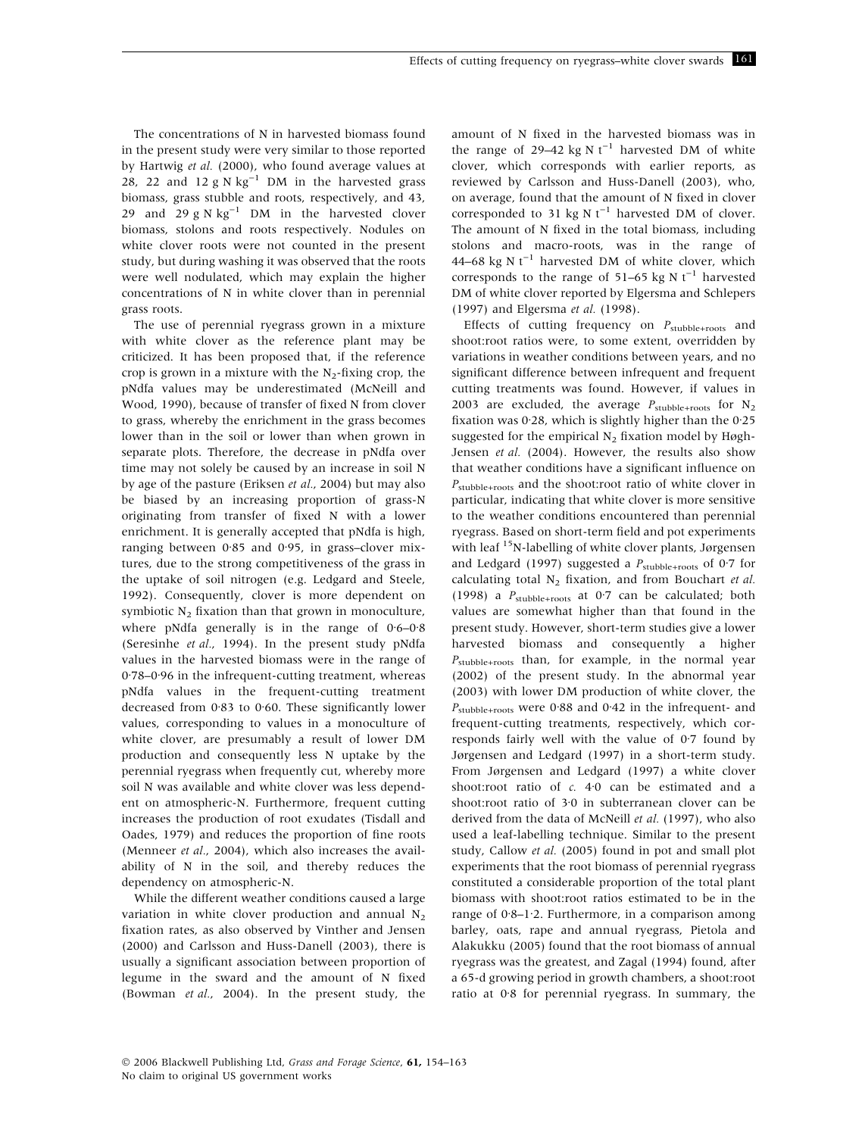The concentrations of N in harvested biomass found in the present study were very similar to those reported by Hartwig et al. (2000), who found average values at 28, 22 and 12 g N  $\text{kg}^{-1}$  DM in the harvested grass biomass, grass stubble and roots, respectively, and 43, 29 and 29 g N  $\text{kg}^{-1}$  DM in the harvested clover biomass, stolons and roots respectively. Nodules on white clover roots were not counted in the present study, but during washing it was observed that the roots were well nodulated, which may explain the higher concentrations of N in white clover than in perennial grass roots.

The use of perennial ryegrass grown in a mixture with white clover as the reference plant may be criticized. It has been proposed that, if the reference crop is grown in a mixture with the  $N_2$ -fixing crop, the pNdfa values may be underestimated (McNeill and Wood, 1990), because of transfer of fixed N from clover to grass, whereby the enrichment in the grass becomes lower than in the soil or lower than when grown in separate plots. Therefore, the decrease in pNdfa over time may not solely be caused by an increase in soil N by age of the pasture (Eriksen et al., 2004) but may also be biased by an increasing proportion of grass-N originating from transfer of fixed N with a lower enrichment. It is generally accepted that pNdfa is high, ranging between  $0.85$  and  $0.95$ , in grass-clover mixtures, due to the strong competitiveness of the grass in the uptake of soil nitrogen (e.g. Ledgard and Steele, 1992). Consequently, clover is more dependent on symbiotic  $N_2$  fixation than that grown in monoculture, where pNdfa generally is in the range of  $0.6-0.8$ (Seresinhe et al., 1994). In the present study pNdfa values in the harvested biomass were in the range of 0.78-0.96 in the infrequent-cutting treatment, whereas pNdfa values in the frequent-cutting treatment decreased from  $0.83$  to  $0.60$ . These significantly lower values, corresponding to values in a monoculture of white clover, are presumably a result of lower DM production and consequently less N uptake by the perennial ryegrass when frequently cut, whereby more soil N was available and white clover was less dependent on atmospheric-N. Furthermore, frequent cutting increases the production of root exudates (Tisdall and Oades, 1979) and reduces the proportion of fine roots (Menneer et al., 2004), which also increases the availability of N in the soil, and thereby reduces the dependency on atmospheric-N.

While the different weather conditions caused a large variation in white clover production and annual  $N_2$ fixation rates, as also observed by Vinther and Jensen (2000) and Carlsson and Huss-Danell (2003), there is usually a significant association between proportion of legume in the sward and the amount of N fixed (Bowman et al., 2004). In the present study, the amount of N fixed in the harvested biomass was in the range of 29–42 kg N  $t^{-1}$  harvested DM of white clover, which corresponds with earlier reports, as reviewed by Carlsson and Huss-Danell (2003), who, on average, found that the amount of N fixed in clover corresponded to 31 kg N  $t^{-1}$  harvested DM of clover. The amount of N fixed in the total biomass, including stolons and macro-roots, was in the range of 44–68 kg N  $t^{-1}$  harvested DM of white clover, which corresponds to the range of  $51-65$  kg N t<sup>-1</sup> harvested DM of white clover reported by Elgersma and Schlepers (1997) and Elgersma et al. (1998).

Effects of cutting frequency on  $P_{\text{stable+roots}}$  and shoot:root ratios were, to some extent, overridden by variations in weather conditions between years, and no significant difference between infrequent and frequent cutting treatments was found. However, if values in 2003 are excluded, the average  $P_{\text{stubble+roots}}$  for  $N_2$ fixation was  $0.28$ , which is slightly higher than the  $0.25$ suggested for the empirical  $N<sub>2</sub>$  fixation model by Høgh-Jensen et al. (2004). However, the results also show that weather conditions have a significant influence on  $P_{\text{stubble+roots}}$  and the shoot:root ratio of white clover in particular, indicating that white clover is more sensitive to the weather conditions encountered than perennial ryegrass. Based on short-term field and pot experiments with leaf <sup>15</sup>N-labelling of white clover plants, Jørgensen and Ledgard (1997) suggested a  $P_{\text{stubble+roots}}$  of 0.7 for calculating total  $N_2$  fixation, and from Bouchart et al. (1998) a  $P_{\text{stable+roots}}$  at 0.7 can be calculated; both values are somewhat higher than that found in the present study. However, short-term studies give a lower harvested biomass and consequently a higher  $P_{\text{stubble+roots}}$  than, for example, in the normal year (2002) of the present study. In the abnormal year (2003) with lower DM production of white clover, the  $P_{\text{stable+roots}}$  were 0.88 and 0.42 in the infrequent- and frequent-cutting treatments, respectively, which corresponds fairly well with the value of  $0.7$  found by Jørgensen and Ledgard (1997) in a short-term study. From Jørgensen and Ledgard (1997) a white clover shoot:root ratio of  $c$ . 4.0 can be estimated and a shoot:root ratio of 3.0 in subterranean clover can be derived from the data of McNeill et al. (1997), who also used a leaf-labelling technique. Similar to the present study, Callow et al. (2005) found in pot and small plot experiments that the root biomass of perennial ryegrass constituted a considerable proportion of the total plant biomass with shoot:root ratios estimated to be in the range of  $0.8-1.2$ . Furthermore, in a comparison among barley, oats, rape and annual ryegrass, Pietola and Alakukku (2005) found that the root biomass of annual ryegrass was the greatest, and Zagal (1994) found, after a 65-d growing period in growth chambers, a shoot:root ratio at 0.8 for perennial ryegrass. In summary, the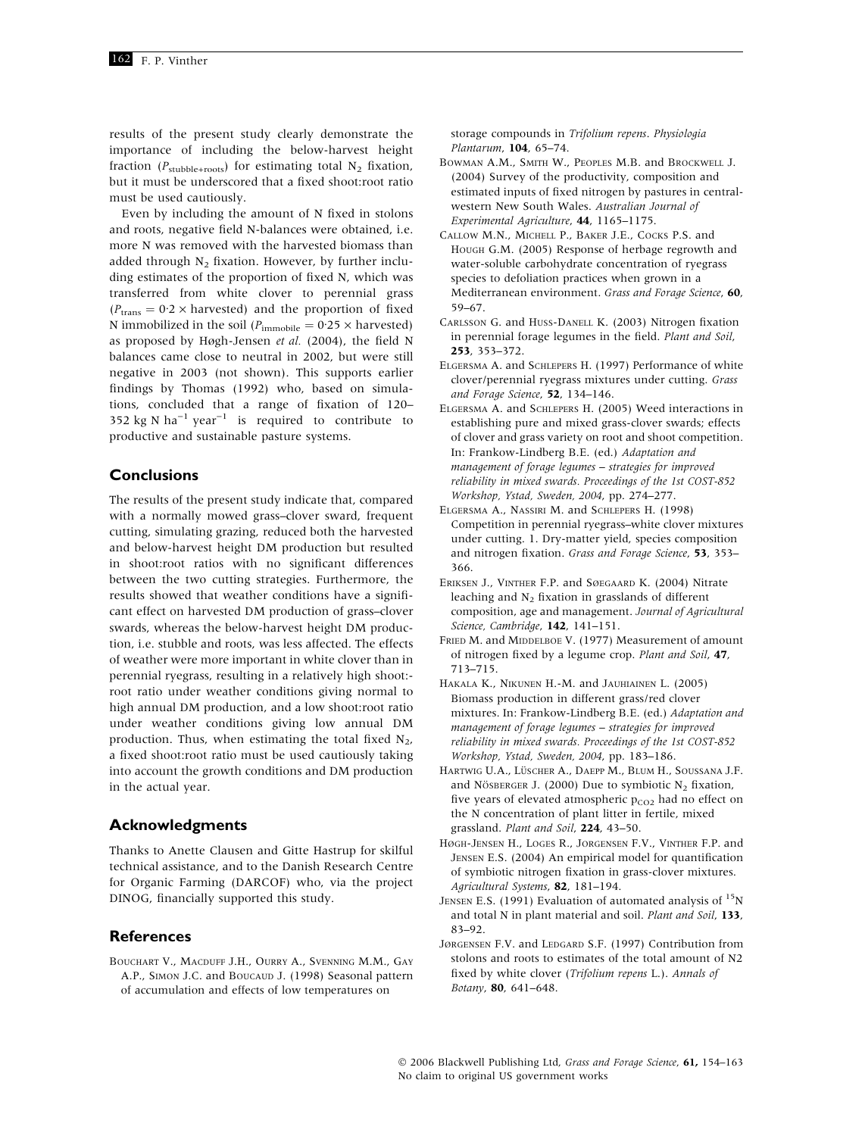results of the present study clearly demonstrate the importance of including the below-harvest height fraction ( $P_{\text{stable+roots}}$ ) for estimating total N<sub>2</sub> fixation, but it must be underscored that a fixed shoot:root ratio must be used cautiously.

Even by including the amount of N fixed in stolons and roots, negative field N-balances were obtained, i.e. more N was removed with the harvested biomass than added through  $N_2$  fixation. However, by further including estimates of the proportion of fixed N, which was transferred from white clover to perennial grass  $(P_{trans} = 0.2 \times \text{harvested})$  and the proportion of fixed N immobilized in the soil ( $P_{\text{immobile}} = 0.25 \times \text{harvested}$ ) as proposed by Høgh-Jensen et al. (2004), the field N balances came close to neutral in 2002, but were still negative in 2003 (not shown). This supports earlier findings by Thomas (1992) who, based on simulations, concluded that a range of fixation of 120– 352 kg N ha<sup>-1</sup> year<sup>-1</sup> is required to contribute to productive and sustainable pasture systems.

## **Conclusions**

The results of the present study indicate that, compared with a normally mowed grass–clover sward, frequent cutting, simulating grazing, reduced both the harvested and below-harvest height DM production but resulted in shoot:root ratios with no significant differences between the two cutting strategies. Furthermore, the results showed that weather conditions have a significant effect on harvested DM production of grass–clover swards, whereas the below-harvest height DM production, i.e. stubble and roots, was less affected. The effects of weather were more important in white clover than in perennial ryegrass, resulting in a relatively high shoot: root ratio under weather conditions giving normal to high annual DM production, and a low shoot:root ratio under weather conditions giving low annual DM production. Thus, when estimating the total fixed  $N_2$ , a fixed shoot:root ratio must be used cautiously taking into account the growth conditions and DM production in the actual year.

## Acknowledgments

Thanks to Anette Clausen and Gitte Hastrup for skilful technical assistance, and to the Danish Research Centre for Organic Farming (DARCOF) who, via the project DINOG, financially supported this study.

## References

Bouchart V., Macduff J.H., Ourry A., Svenning M.M., Gay A.P., SIMON J.C. and BOUCAUD J. (1998) Seasonal pattern of accumulation and effects of low temperatures on

storage compounds in Trifolium repens. Physiologia Plantarum, 104, 65–74.

- Bowman A.M., Smith W., Peoples M.B. and Brockwell J. (2004) Survey of the productivity, composition and estimated inputs of fixed nitrogen by pastures in centralwestern New South Wales. Australian Journal of Experimental Agriculture, 44, 1165–1175.
- Callow M.N., Michell P., Baker J.E., Cocks P.S. and Hough G.M. (2005) Response of herbage regrowth and water-soluble carbohydrate concentration of ryegrass species to defoliation practices when grown in a Mediterranean environment. Grass and Forage Science, 60, 59–67.
- Carlsson G. and Huss-Danell K. (2003) Nitrogen fixation in perennial forage legumes in the field. Plant and Soil, 253, 353–372.
- Elgersma A. and Schlepers H. (1997) Performance of white clover/perennial ryegrass mixtures under cutting. Grass and Forage Science, 52, 134–146.
- Elgersma A. and Schlepers H. (2005) Weed interactions in establishing pure and mixed grass-clover swards; effects of clover and grass variety on root and shoot competition. In: Frankow-Lindberg B.E. (ed.) Adaptation and management of forage legumes – strategies for improved reliability in mixed swards. Proceedings of the 1st COST-852 Workshop, Ystad, Sweden, 2004, pp. 274–277.
- Elgersma A., Nassiri M. and Schlepers H. (1998) Competition in perennial ryegrass–white clover mixtures under cutting. 1. Dry-matter yield, species composition and nitrogen fixation. Grass and Forage Science, 53, 353-366.
- Eriksen J., Vinther F.P. and Søegaard K. (2004) Nitrate leaching and  $N<sub>2</sub>$  fixation in grasslands of different composition, age and management. Journal of Agricultural Science, Cambridge, 142, 141–151.
- FRIED M. and MIDDELBOE V. (1977) Measurement of amount of nitrogen fixed by a legume crop. Plant and Soil, 47, 713–715.
- Hakala K., Nikunen H.-M. and Jauhiainen L. (2005) Biomass production in different grass/red clover mixtures. In: Frankow-Lindberg B.E. (ed.) Adaptation and management of forage legumes – strategies for improved reliability in mixed swards. Proceedings of the 1st COST-852 Workshop, Ystad, Sweden, 2004, pp. 183–186.
- HARTWIG U.A., LÜSCHER A., DAEPP M., BLUM H., SOUSSANA J.F. and Nösberger J. (2000) Due to symbiotic  $N_2$  fixation, five years of elevated atmospheric  $p_{CO2}$  had no effect on the N concentration of plant litter in fertile, mixed grassland. Plant and Soil, 224, 43–50.
- Høgh-Jensen H., Loges R., Jorgensen F.V., Vinther F.P. and Jensen E.S. (2004) An empirical model for quantification of symbiotic nitrogen fixation in grass-clover mixtures. Agricultural Systems, 82, 181–194.
- JENSEN E.S. (1991) Evaluation of automated analysis of  $^{15}N$ and total N in plant material and soil. Plant and Soil, 133, 83–92.
- JØRGENSEN F.V. and LEDGARD S.F. (1997) Contribution from stolons and roots to estimates of the total amount of N2 fixed by white clover (Trifolium repens L.). Annals of Botany, 80, 641–648.